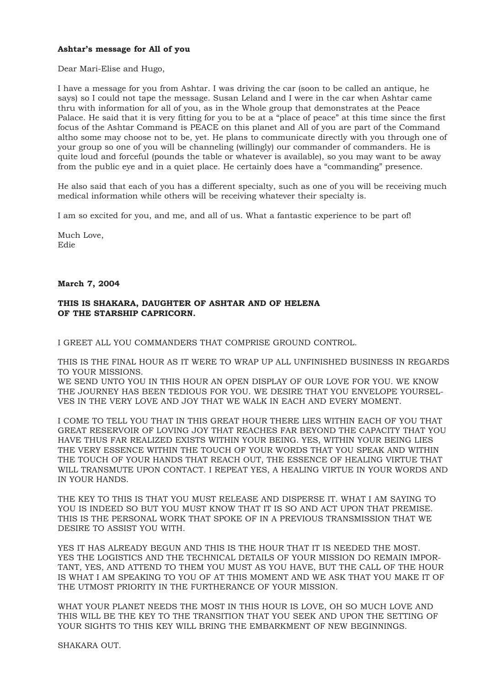## **Ashtar's message for All of you**

Dear Mari-Elise and Hugo,

I have a message for you from Ashtar. I was driving the car (soon to be called an antique, he says) so I could not tape the message. Susan Leland and I were in the car when Ashtar came thru with information for all of you, as in the Whole group that demonstrates at the Peace Palace. He said that it is very fitting for you to be at a "place of peace" at this time since the first focus of the Ashtar Command is PEACE on this planet and All of you are part of the Command altho some may choose not to be, yet. He plans to communicate directly with you through one of your group so one of you will be channeling (willingly) our commander of commanders. He is quite loud and forceful (pounds the table or whatever is available), so you may want to be away from the public eye and in a quiet place. He certainly does have a "commanding" presence.

He also said that each of you has a different specialty, such as one of you will be receiving much medical information while others will be receiving whatever their specialty is.

I am so excited for you, and me, and all of us. What a fantastic experience to be part of!

Much Love, Edie

## **March 7, 2004**

## **THIS IS SHAKARA, DAUGHTER OF ASHTAR AND OF HELENA OF THE STARSHIP CAPRICORN.**

I GREET ALL YOU COMMANDERS THAT COMPRISE GROUND CONTROL.

THIS IS THE FINAL HOUR AS IT WERE TO WRAP UP ALL UNFINISHED BUSINESS IN REGARDS TO YOUR MISSIONS.

WE SEND UNTO YOU IN THIS HOUR AN OPEN DISPLAY OF OUR LOVE FOR YOU. WE KNOW THE JOURNEY HAS BEEN TEDIOUS FOR YOU. WE DESIRE THAT YOU ENVELOPE YOURSEL-VES IN THE VERY LOVE AND JOY THAT WE WALK IN EACH AND EVERY MOMENT.

I COME TO TELL YOU THAT IN THIS GREAT HOUR THERE LIES WITHIN EACH OF YOU THAT GREAT RESERVOIR OF LOVING JOY THAT REACHES FAR BEYOND THE CAPACITY THAT YOU HAVE THUS FAR REALIZED EXISTS WITHIN YOUR BEING. YES, WITHIN YOUR BEING LIES THE VERY ESSENCE WITHIN THE TOUCH OF YOUR WORDS THAT YOU SPEAK AND WITHIN THE TOUCH OF YOUR HANDS THAT REACH OUT, THE ESSENCE OF HEALING VIRTUE THAT WILL TRANSMUTE UPON CONTACT. I REPEAT YES, A HEALING VIRTUE IN YOUR WORDS AND IN YOUR HANDS.

THE KEY TO THIS IS THAT YOU MUST RELEASE AND DISPERSE IT. WHAT I AM SAYING TO YOU IS INDEED SO BUT YOU MUST KNOW THAT IT IS SO AND ACT UPON THAT PREMISE. THIS IS THE PERSONAL WORK THAT SPOKE OF IN A PREVIOUS TRANSMISSION THAT WE DESIRE TO ASSIST YOU WITH.

YES IT HAS ALREADY BEGUN AND THIS IS THE HOUR THAT IT IS NEEDED THE MOST. YES THE LOGISTICS AND THE TECHNICAL DETAILS OF YOUR MISSION DO REMAIN IMPOR-TANT, YES, AND ATTEND TO THEM YOU MUST AS YOU HAVE, BUT THE CALL OF THE HOUR IS WHAT I AM SPEAKING TO YOU OF AT THIS MOMENT AND WE ASK THAT YOU MAKE IT OF THE UTMOST PRIORITY IN THE FURTHERANCE OF YOUR MISSION.

WHAT YOUR PLANET NEEDS THE MOST IN THIS HOUR IS LOVE, OH SO MUCH LOVE AND THIS WILL BE THE KEY TO THE TRANSITION THAT YOU SEEK AND UPON THE SETTING OF YOUR SIGHTS TO THIS KEY WILL BRING THE EMBARKMENT OF NEW BEGINNINGS.

SHAKARA OUT.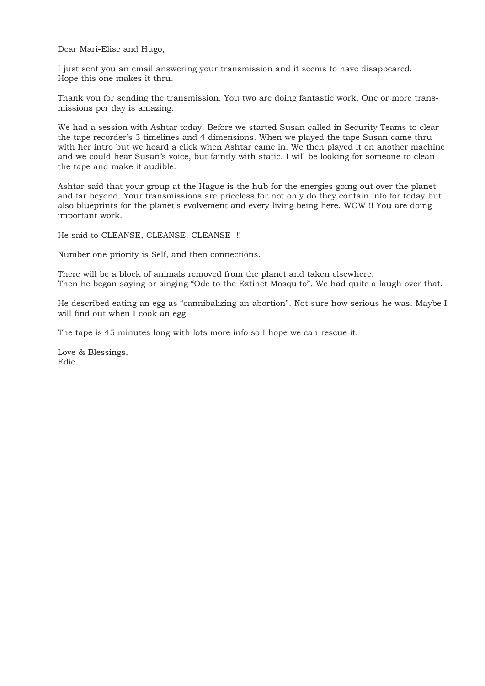Dear Mari-Elise and Hugo,

I just sent you an email answering your transmission and it seems to have disappeared. Hope this one makes it thru.

Thank you for sending the transmission. You two are doing fantastic work. One or more transmissions per day is amazing.

We had a session with Ashtar today. Before we started Susan called in Security Teams to clear the tape recorder's 3 timelines and 4 dimensions. When we played the tape Susan came thru with her intro but we heard a click when Ashtar came in. We then played it on another machine and we could hear Susan's voice, but faintly with static. I will be looking for someone to clean the tape and make it audible.

Ashtar said that your group at the Hague is the hub for the energies going out over the planet and far beyond. Your transmissions are priceless for not only do they contain info for today but also blueprints for the planet's evolvement and every living being here. WOW !! You are doing important work.

He said to CLEANSE, CLEANSE, CLEANSE !!!

Number one priority is Self, and then connections.

There will be a block of animals removed from the planet and taken elsewhere. Then he began saying or singing "Ode to the Extinct Mosquito". We had quite a laugh over that.

He described eating an egg as "cannibalizing an abortion". Not sure how serious he was. Maybe I will find out when I cook an egg.

The tape is 45 minutes long with lots more info so I hope we can rescue it.

Love & Blessings, Edie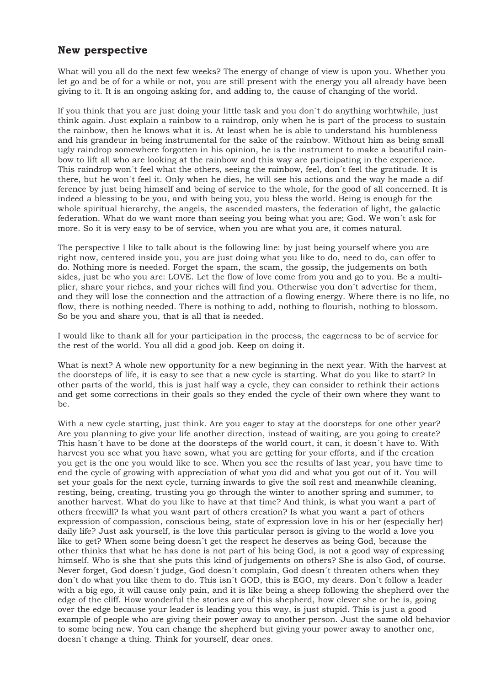## **New perspective**

What will you all do the next few weeks? The energy of change of view is upon you. Whether you let go and be of for a while or not, you are still present with the energy you all already have been giving to it. It is an ongoing asking for, and adding to, the cause of changing of the world.

If you think that you are just doing your little task and you don´t do anything worhtwhile, just think again. Just explain a rainbow to a raindrop, only when he is part of the process to sustain the rainbow, then he knows what it is. At least when he is able to understand his humbleness and his grandeur in being instrumental for the sake of the rainbow. Without him as being small ugly raindrop somewhere forgotten in his opinion, he is the instrument to make a beautiful rainbow to lift all who are looking at the rainbow and this way are participating in the experience. This raindrop won´t feel what the others, seeing the rainbow, feel, don´t feel the gratitude. It is there, but he won´t feel it. Only when he dies, he will see his actions and the way he made a difference by just being himself and being of service to the whole, for the good of all concerned. It is indeed a blessing to be you, and with being you, you bless the world. Being is enough for the whole spiritual hierarchy, the angels, the ascended masters, the federation of light, the galactic federation. What do we want more than seeing you being what you are; God. We won´t ask for more. So it is very easy to be of service, when you are what you are, it comes natural.

The perspective I like to talk about is the following line: by just being yourself where you are right now, centered inside you, you are just doing what you like to do, need to do, can offer to do. Nothing more is needed. Forget the spam, the scam, the gossip, the judgements on both sides, just be who you are: LOVE. Let the flow of love come from you and go to you. Be a multiplier, share your riches, and your riches will find you. Otherwise you don´t advertise for them, and they will lose the connection and the attraction of a flowing energy. Where there is no life, no flow, there is nothing needed. There is nothing to add, nothing to flourish, nothing to blossom. So be you and share you, that is all that is needed.

I would like to thank all for your participation in the process, the eagerness to be of service for the rest of the world. You all did a good job. Keep on doing it.

What is next? A whole new opportunity for a new beginning in the next year. With the harvest at the doorsteps of life, it is easy to see that a new cycle is starting. What do you like to start? In other parts of the world, this is just half way a cycle, they can consider to rethink their actions and get some corrections in their goals so they ended the cycle of their own where they want to be.

With a new cycle starting, just think. Are you eager to stay at the doorsteps for one other year? Are you planning to give your life another direction, instead of waiting, are you going to create? This hasn´t have to be done at the doorsteps of the world court, it can, it doesn´t have to. With harvest you see what you have sown, what you are getting for your efforts, and if the creation you get is the one you would like to see. When you see the results of last year, you have time to end the cycle of growing with appreciation of what you did and what you got out of it. You will set your goals for the next cycle, turning inwards to give the soil rest and meanwhile cleaning, resting, being, creating, trusting you go through the winter to another spring and summer, to another harvest. What do you like to have at that time? And think, is what you want a part of others freewill? Is what you want part of others creation? Is what you want a part of others expression of compassion, conscious being, state of expression love in his or her (especially her) daily life? Just ask yourself, is the love this particular person is giving to the world a love you like to get? When some being doesn´t get the respect he deserves as being God, because the other thinks that what he has done is not part of his being God, is not a good way of expressing himself. Who is she that she puts this kind of judgements on others? She is also God, of course. Never forget, God doesn´t judge, God doesn´t complain, God doesn´t threaten others when they don´t do what you like them to do. This isn´t GOD, this is EGO, my dears. Don´t follow a leader with a big ego, it will cause only pain, and it is like being a sheep following the shepherd over the edge of the cliff. How wonderful the stories are of this shepherd, how clever she or he is, going over the edge because your leader is leading you this way, is just stupid. This is just a good example of people who are giving their power away to another person. Just the same old behavior to some being new. You can change the shepherd but giving your power away to another one, doesn´t change a thing. Think for yourself, dear ones.